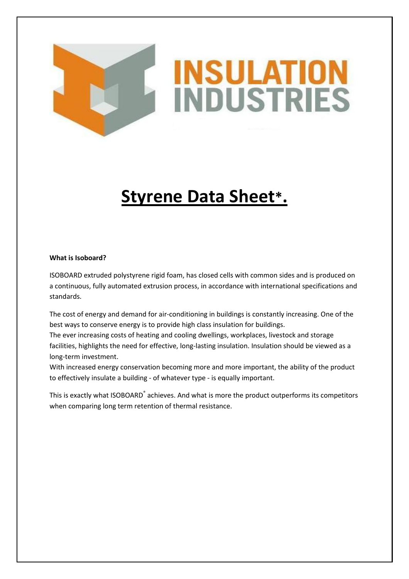# **INSULATIO INDUSTRIES**

## **Styrene Data Sheet\*.**

#### **What is Isoboard?**

ISOBOARD extruded polystyrene rigid foam, has closed cells with common sides and is produced on a continuous, fully automated extrusion process, in accordance with international specifications and standards.

The cost of energy and demand for air-conditioning in buildings is constantly increasing. One of the best ways to conserve energy is to provide high class insulation for buildings.

The ever increasing costs of heating and cooling dwellings, workplaces, livestock and storage facilities, highlights the need for effective, long-lasting insulation. Insulation should be viewed as a long-term investment.

With increased energy conservation becoming more and more important, the ability of the product to effectively insulate a building - of whatever type - is equally important.

This is exactly what ISOBOARD<sup>®</sup> achieves. And what is more the product outperforms its competitors when comparing long term retention of thermal resistance.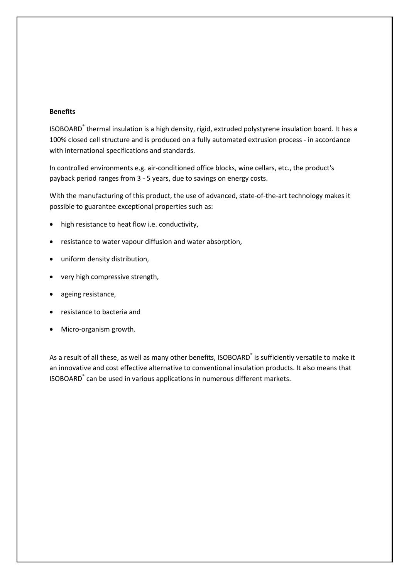#### **Benefits**

ISOBOARD® thermal insulation is a high density, rigid, extruded polystyrene insulation board. It has a 100% closed cell structure and is produced on a fully automated extrusion process - in accordance with international specifications and standards.

In controlled environments e.g. air-conditioned office blocks, wine cellars, etc., the product's payback period ranges from 3 - 5 years, due to savings on energy costs.

With the manufacturing of this product, the use of advanced, state-of-the-art technology makes it possible to guarantee exceptional properties such as:

- high resistance to heat flow i.e. conductivity,
- resistance to water vapour diffusion and water absorption,
- uniform density distribution,
- very high compressive strength,
- ageing resistance,
- resistance to bacteria and
- Micro-organism growth.

As a result of all these, as well as many other benefits, ISOBOARD<sup>®</sup> is sufficiently versatile to make it an innovative and cost effective alternative to conventional insulation products. It also means that ISOBOARD® can be used in various applications in numerous different markets.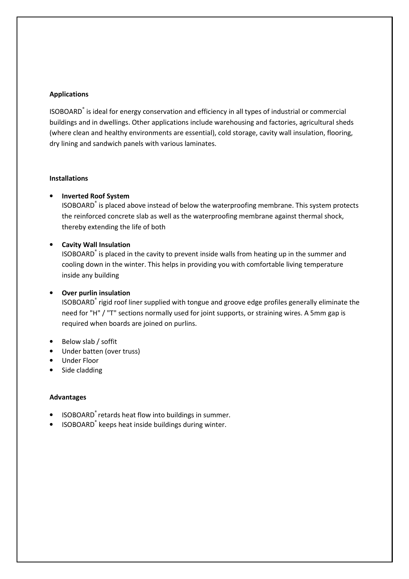#### **Applications**

ISOBOARD® is ideal for energy conservation and efficiency in all types of industrial or commercial buildings and in dwellings. Other applications include warehousing and factories, agricultural sheds (where clean and healthy environments are essential), cold storage, cavity wall insulation, flooring, dry lining and sandwich panels with various laminates.

#### **Installations**

#### • **Inverted Roof System**

ISOBOARD® is placed above instead of below the waterproofing membrane. This system protects the reinforced concrete slab as well as the waterproofing membrane against thermal shock, thereby extending the life of both

#### • **Cavity Wall Insulation**

ISOBOARD® is placed in the cavity to prevent inside walls from heating up in the summer and cooling down in the winter. This helps in providing you with comfortable living temperature inside any building

#### • **Over purlin insulation**

ISOBOARD® rigid roof liner supplied with tongue and groove edge profiles generally eliminate the need for "H" / "T" sections normally used for joint supports, or straining wires. A 5mm gap is required when boards are joined on purlins.

- Below slab / soffit
- Under batten (over truss)
- Under Floor
- Side cladding

#### **Advantages**

- ISOBOARD<sup>®</sup> retards heat flow into buildings in summer.
- ISOBOARD<sup>®</sup> keeps heat inside buildings during winter.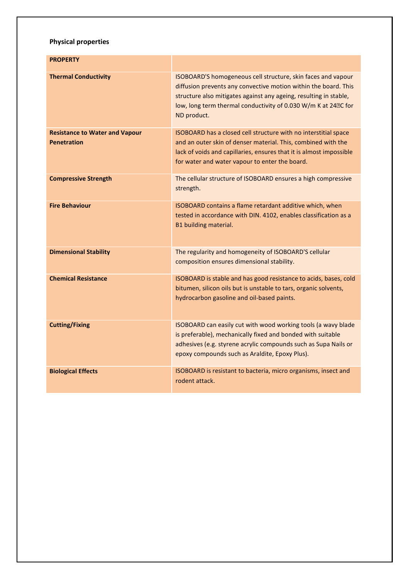### **Physical properties**

| <b>PROPERTY</b>                                             |                                                                                                                                                                                                                                                                                       |
|-------------------------------------------------------------|---------------------------------------------------------------------------------------------------------------------------------------------------------------------------------------------------------------------------------------------------------------------------------------|
| <b>Thermal Conductivity</b>                                 | ISOBOARD'S homogeneous cell structure, skin faces and vapour<br>diffusion prevents any convective motion within the board. This<br>structure also mitigates against any ageing, resulting in stable,<br>low, long term thermal conductivity of 0.030 W/m K at 240C for<br>ND product. |
| <b>Resistance to Water and Vapour</b><br><b>Penetration</b> | ISOBOARD has a closed cell structure with no interstitial space<br>and an outer skin of denser material. This, combined with the<br>lack of voids and capillaries, ensures that it is almost impossible<br>for water and water vapour to enter the board.                             |
| <b>Compressive Strength</b>                                 | The cellular structure of ISOBOARD ensures a high compressive<br>strength.                                                                                                                                                                                                            |
| <b>Fire Behaviour</b>                                       | ISOBOARD contains a flame retardant additive which, when<br>tested in accordance with DIN. 4102, enables classification as a<br>B1 building material.                                                                                                                                 |
| <b>Dimensional Stability</b>                                | The regularity and homogeneity of ISOBOARD'S cellular<br>composition ensures dimensional stability.                                                                                                                                                                                   |
| <b>Chemical Resistance</b>                                  | ISOBOARD is stable and has good resistance to acids, bases, cold<br>bitumen, silicon oils but is unstable to tars, organic solvents,<br>hydrocarbon gasoline and oil-based paints.                                                                                                    |
| <b>Cutting/Fixing</b>                                       | ISOBOARD can easily cut with wood working tools (a wavy blade<br>is preferable), mechanically fixed and bonded with suitable<br>adhesives (e.g. styrene acrylic compounds such as Supa Nails or<br>epoxy compounds such as Araldite, Epoxy Plus).                                     |
| <b>Biological Effects</b>                                   | ISOBOARD is resistant to bacteria, micro organisms, insect and<br>rodent attack.                                                                                                                                                                                                      |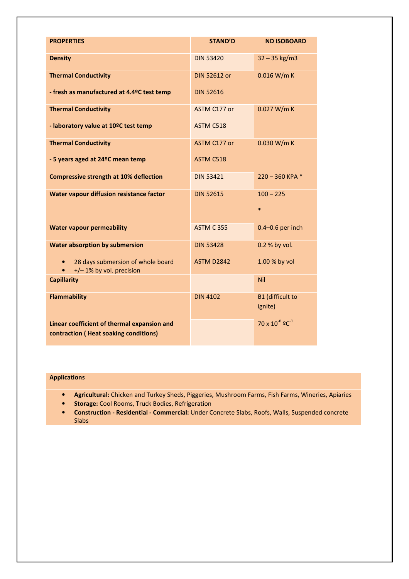| <b>PROPERTIES</b>                                                                    | <b>STAND'D</b>      | <b>ND ISOBOARD</b>                 |
|--------------------------------------------------------------------------------------|---------------------|------------------------------------|
|                                                                                      |                     |                                    |
| <b>Density</b>                                                                       | <b>DIN 53420</b>    | $32 - 35$ kg/m3                    |
| <b>Thermal Conductivity</b>                                                          | <b>DIN 52612 or</b> | 0.016 W/m K                        |
| - fresh as manufactured at 4.4ºC test temp                                           | <b>DIN 52616</b>    |                                    |
| <b>Thermal Conductivity</b>                                                          | ASTM C177 or        | 0.027 W/m K                        |
| - laboratory value at 10ºC test temp                                                 | ASTM C518           |                                    |
| <b>Thermal Conductivity</b>                                                          | ASTM C177 or        | 0.030 W/m K                        |
| - 5 years aged at 24ºC mean temp                                                     | ASTM C518           |                                    |
| <b>Compressive strength at 10% deflection</b>                                        | <b>DIN 53421</b>    | $220 - 360$ KPA *                  |
| Water vapour diffusion resistance factor                                             | <b>DIN 52615</b>    | $100 - 225$                        |
|                                                                                      |                     | $\ast$                             |
| <b>Water vapour permeability</b>                                                     | <b>ASTM C 355</b>   | $0.4 - 0.6$ per inch               |
| <b>Water absorption by submersion</b>                                                | <b>DIN 53428</b>    | 0.2 % by vol.                      |
| 28 days submersion of whole board<br>+/-1% by vol. precision                         | <b>ASTM D2842</b>   | 1.00 % by vol                      |
| <b>Capillarity</b>                                                                   |                     | Nil                                |
| <b>Flammability</b>                                                                  | <b>DIN 4102</b>     | <b>B1</b> (difficult to<br>ignite) |
| Linear coefficient of thermal expansion and<br>contraction (Heat soaking conditions) |                     | $70 \times 10^{-6}$ $9C^{-1}$      |

#### **Applications**

- **Agricultural:** Chicken and Turkey Sheds, Piggeries, Mushroom Farms, Fish Farms, Wineries, Apiaries
- **Storage:** Cool Rooms, Truck Bodies, Refrigeration
- **Construction Residential Commercial:** Under Concrete Slabs, Roofs, Walls, Suspended concrete Slabs